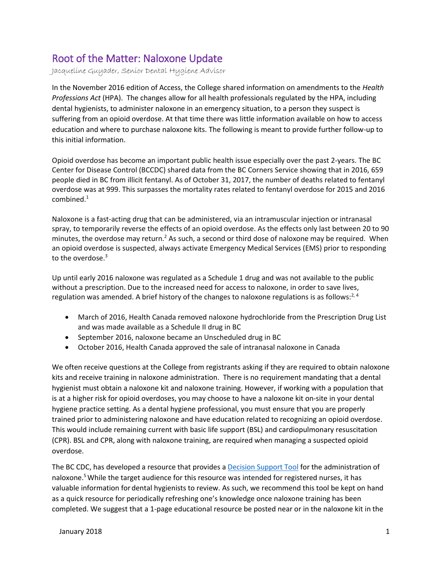## Root of the Matter: Naloxone Update

Jacqueline Guyader, Senior Dental Hygiene Advisor

In the November 2016 edition of Access, the College shared information on amendments to the *Health Professions Act* (HPA). The changes allow for all health professionals regulated by the HPA, including dental hygienists, to administer naloxone in an emergency situation, to a person they suspect is suffering from an opioid overdose. At that time there was little information available on how to access education and where to purchase naloxone kits. The following is meant to provide further follow-up to this initial information.

Opioid overdose has become an important public health issue especially over the past 2-years. The BC Center for Disease Control (BCCDC) shared data from the BC Corners Service showing that in 2016, 659 people died in BC from illicit fentanyl. As of October 31, 2017, the number of deaths related to fentanyl overdose was at 999. This surpasses the mortality rates related to fentanyl overdose for 2015 and 2016 combined. 1

Naloxone is a fast-acting drug that can be administered, via an intramuscular injection or intranasal spray, to temporarily reverse the effects of an opioid overdose. As the effects only last between 20 to 90 minutes, the overdose may return.<sup>2</sup> As such, a second or third dose of naloxone may be required. When an opioid overdose is suspected, always activate Emergency Medical Services (EMS) prior to responding to the overdose.<sup>3</sup>

Up until early 2016 naloxone was regulated as a Schedule 1 drug and was not available to the public without a prescription. Due to the increased need for access to naloxone, in order to save lives, regulation was amended. A brief history of the changes to naloxone regulations is as follows: $2,4$ 

- March of 2016, Health Canada removed naloxone hydrochloride from the Prescription Drug List and was made available as a Schedule II drug in BC
- September 2016, naloxone became an Unscheduled drug in BC
- October 2016, Health Canada approved the sale of intranasal naloxone in Canada

We often receive questions at the College from registrants asking if they are required to obtain naloxone kits and receive training in naloxone administration. There is no requirement mandating that a dental hygienist must obtain a naloxone kit and naloxone training. However, if working with a population that is at a higher risk for opioid overdoses, you may choose to have a naloxone kit on-site in your dental hygiene practice setting. As a dental hygiene professional, you must ensure that you are properly trained prior to administering naloxone and have education related to recognizing an opioid overdose. This would include remaining current with basic life support (BSL) and cardiopulmonary resuscitation (CPR). BSL and CPR, along with naloxone training, are required when managing a suspected opioid overdose.

The BC CDC, has developed a resource that provides a **Decision Support Tool** for the administration of naloxone. <sup>5</sup>While the target audience for this resource was intended for registered nurses, it has valuable information for dental hygienists to review. As such, we recommend this tool be kept on hand as a quick resource for periodically refreshing one's knowledge once naloxone training has been completed. We suggest that a 1-page educational resource be posted near or in the naloxone kit in the